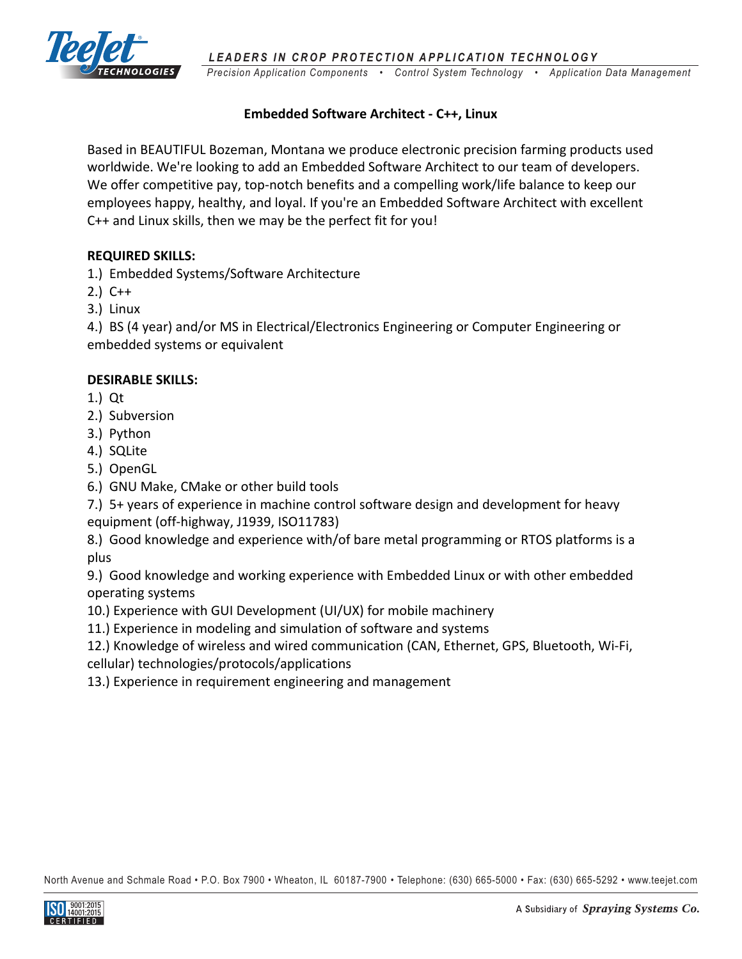

*Precision Application Components • Control System Technology • Application Data Management LEADERS IN CROP PROTECTION APPLICATION TECHNOLOGY* 

# **Embedded Software Architect ‐ C++, Linux**

Based in BEAUTIFUL Bozeman, Montana we produce electronic precision farming products used worldwide. We're looking to add an Embedded Software Architect to our team of developers. We offer competitive pay, top-notch benefits and a compelling work/life balance to keep our employees happy, healthy, and loyal. If you're an Embedded Software Architect with excellent C++ and Linux skills, then we may be the perfect fit for you!

## **REQUIRED SKILLS:**

1.) Embedded Systems/Software Architecture

- 2.) C++
- 3.) Linux

4.) BS (4 year) and/or MS in Electrical/Electronics Engineering or Computer Engineering or embedded systems or equivalent

# **DESIRABLE SKILLS:**

- 1.) Qt
- 2.) Subversion
- 3.) Python
- 4.) SQLite
- 5.) OpenGL
- 6.) GNU Make, CMake or other build tools

7.) 5+ years of experience in machine control software design and development for heavy equipment (off‐highway, J1939, ISO11783)

8.) Good knowledge and experience with/of bare metal programming or RTOS platforms is a plus

9.) Good knowledge and working experience with Embedded Linux or with other embedded operating systems

10.) Experience with GUI Development (UI/UX) for mobile machinery

11.) Experience in modeling and simulation of software and systems

12.) Knowledge of wireless and wired communication (CAN, Ethernet, GPS, Bluetooth, Wi‐Fi, cellular) technologies/protocols/applications

13.) Experience in requirement engineering and management

North Avenue and Schmale Road • P.O. Box 7900 • Wheaton, IL 60187-7900 • Telephone: (630) 665-5000 • Fax: (630) 665-5292 • www.teejet.com